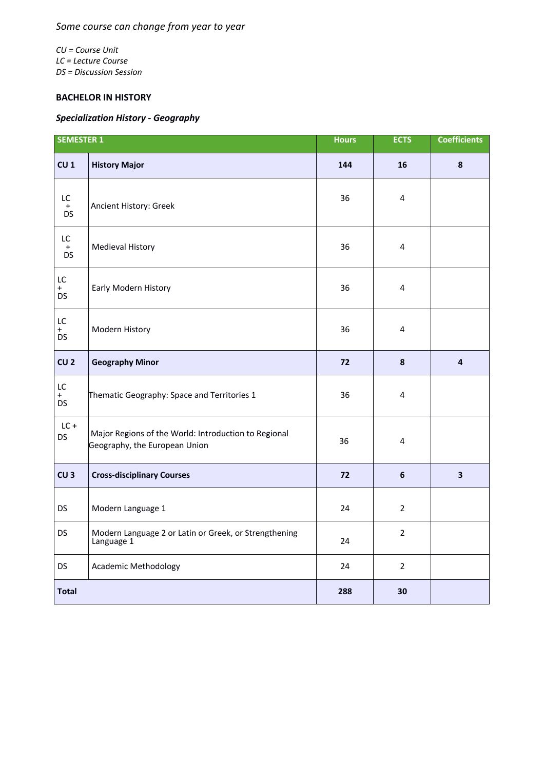## *Some course can change from year to year*

*CU = Course Unit LC = Lecture Course DS = Discussion Session*

## **BACHELOR IN HISTORY**

## *Specialization History - Geography*

| <b>SEMESTER 1</b>      |                                                                                       | <b>Hours</b> | <b>ECTS</b>      | <b>Coefficients</b>     |
|------------------------|---------------------------------------------------------------------------------------|--------------|------------------|-------------------------|
| CU <sub>1</sub>        | <b>History Major</b>                                                                  | 144          | 16               | 8                       |
| LC<br>$+$<br><b>DS</b> | Ancient History: Greek                                                                | 36           | 4                |                         |
| LC<br>$+$<br><b>DS</b> | Medieval History                                                                      | 36           | 4                |                         |
| LC<br>$+$<br><b>DS</b> | Early Modern History                                                                  | 36           | 4                |                         |
| LC<br>$+$<br><b>DS</b> | Modern History                                                                        | 36           | 4                |                         |
| CU <sub>2</sub>        | <b>Geography Minor</b>                                                                | 72           | $\boldsymbol{8}$ | $\overline{\mathbf{4}}$ |
| LC<br>$+$<br><b>DS</b> | Thematic Geography: Space and Territories 1                                           | 36           | 4                |                         |
| $LC +$<br><b>DS</b>    | Major Regions of the World: Introduction to Regional<br>Geography, the European Union | 36           | 4                |                         |
| CU <sub>3</sub>        | <b>Cross-disciplinary Courses</b>                                                     | 72           | 6                | 3                       |
| <b>DS</b>              | Modern Language 1                                                                     | 24           | $\overline{2}$   |                         |
| DS                     | Modern Language 2 or Latin or Greek, or Strengthening<br>Language 1                   | 24           | $\overline{2}$   |                         |
| <b>DS</b>              | Academic Methodology                                                                  | 24           | $\overline{2}$   |                         |
| <b>Total</b>           |                                                                                       | 288          | 30               |                         |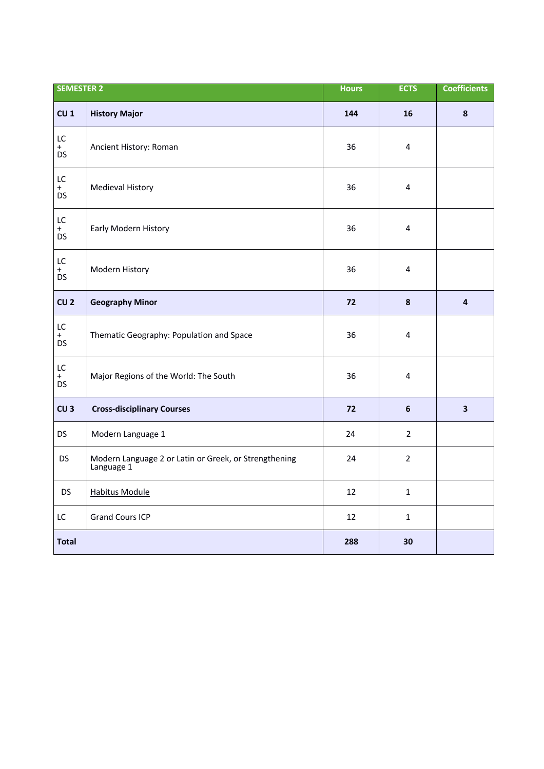| <b>SEMESTER 2</b>      |                                                                     | <b>Hours</b> | <b>ECTS</b>             | <b>Coefficients</b>     |
|------------------------|---------------------------------------------------------------------|--------------|-------------------------|-------------------------|
| CU <sub>1</sub>        | <b>History Major</b>                                                | 144          | 16                      | $\pmb{8}$               |
| LC<br>$+$<br><b>DS</b> | Ancient History: Roman                                              | 36           | 4                       |                         |
| LC<br>$+$<br><b>DS</b> | Medieval History                                                    | 36           | $\overline{\mathbf{4}}$ |                         |
| LC<br>$+$<br><b>DS</b> | Early Modern History                                                | 36           | 4                       |                         |
| LC<br>$+$<br><b>DS</b> | Modern History                                                      | 36           | $\overline{\mathbf{4}}$ |                         |
| CU <sub>2</sub>        | <b>Geography Minor</b>                                              | 72           | $\pmb{8}$               | 4                       |
| LC<br>$+$<br><b>DS</b> | Thematic Geography: Population and Space                            | 36           | 4                       |                         |
| LC<br>$+$<br><b>DS</b> | Major Regions of the World: The South                               | 36           | 4                       |                         |
| CU <sub>3</sub>        | <b>Cross-disciplinary Courses</b>                                   | 72           | $\boldsymbol{6}$        | $\overline{\mathbf{3}}$ |
| <b>DS</b>              | Modern Language 1                                                   | 24           | $\overline{2}$          |                         |
| <b>DS</b>              | Modern Language 2 or Latin or Greek, or Strengthening<br>Language 1 | 24           | $\overline{2}$          |                         |
| <b>DS</b>              | <b>Habitus Module</b>                                               | 12           | $\mathbf{1}$            |                         |
| LC                     | <b>Grand Cours ICP</b>                                              | 12           | $\mathbf{1}$            |                         |
| <b>Total</b>           |                                                                     | 288          | 30                      |                         |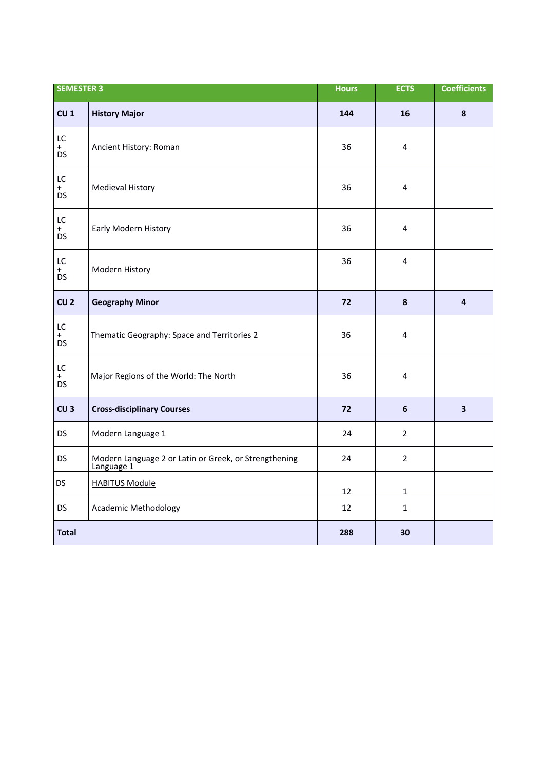| <b>SEMESTER 3</b>      |                                                                     | <b>Hours</b> | <b>ECTS</b>    | <b>Coefficients</b>     |
|------------------------|---------------------------------------------------------------------|--------------|----------------|-------------------------|
| CU <sub>1</sub>        | <b>History Major</b>                                                | 144          | 16             | 8                       |
| LC<br>$+$<br><b>DS</b> | Ancient History: Roman                                              | 36           | 4              |                         |
| LC<br>$+$<br>DS        | Medieval History                                                    | 36           | 4              |                         |
| LC<br>$+$<br><b>DS</b> | Early Modern History                                                | 36           | 4              |                         |
| LC<br>$+$<br><b>DS</b> | Modern History                                                      | 36           | 4              |                         |
| CU <sub>2</sub>        | <b>Geography Minor</b>                                              | 72           | 8              | 4                       |
| LC<br>$+$<br><b>DS</b> | Thematic Geography: Space and Territories 2                         | 36           | 4              |                         |
| LC<br>$+$<br><b>DS</b> | Major Regions of the World: The North                               | 36           | 4              |                         |
| CU <sub>3</sub>        | <b>Cross-disciplinary Courses</b>                                   | 72           | $6\phantom{1}$ | $\overline{\mathbf{3}}$ |
| <b>DS</b>              | Modern Language 1                                                   | 24           | $\overline{2}$ |                         |
| <b>DS</b>              | Modern Language 2 or Latin or Greek, or Strengthening<br>Language 1 | 24           | $\overline{2}$ |                         |
| <b>DS</b>              | <b>HABITUS Module</b>                                               | 12           | 1              |                         |
| <b>DS</b>              | <b>Academic Methodology</b>                                         | 12           | $\mathbf{1}$   |                         |
| <b>Total</b>           |                                                                     | 288          | 30             |                         |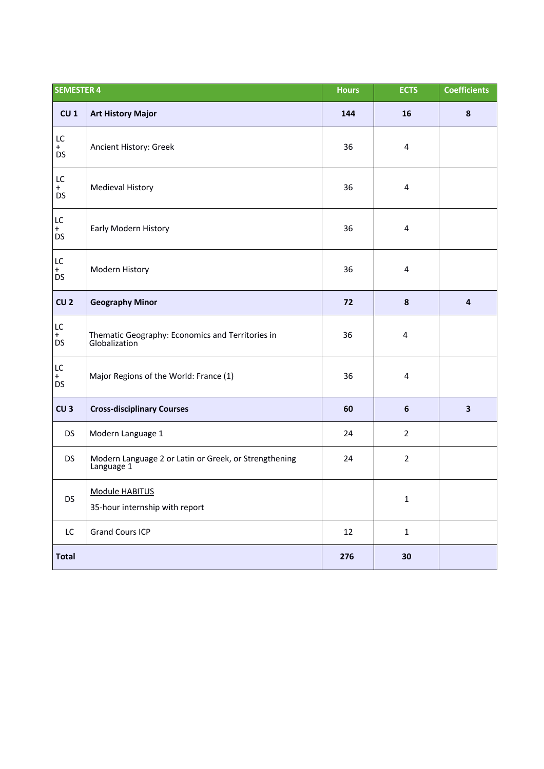| <b>SEMESTER 4</b>                 |                                                                     | <b>Hours</b> | <b>ECTS</b>      | <b>Coefficients</b>     |
|-----------------------------------|---------------------------------------------------------------------|--------------|------------------|-------------------------|
| CU <sub>1</sub>                   | <b>Art History Major</b>                                            | 144          | 16               | ${\bf 8}$               |
| LC<br>$+$<br><b>DS</b>            | Ancient History: Greek                                              | 36           | 4                |                         |
| LC<br>$+$<br><b>DS</b>            | Medieval History                                                    | 36           | 4                |                         |
| $\mathsf{LC}$<br>$+$<br>DS        | Early Modern History                                                | 36           | 4                |                         |
| LC<br>$+$<br><b>DS</b>            | Modern History                                                      | 36           | 4                |                         |
| CU <sub>2</sub>                   | <b>Geography Minor</b>                                              | 72           | $\boldsymbol{8}$ | $\overline{\mathbf{4}}$ |
| LC<br>$+$<br><b>DS</b>            | Thematic Geography: Economics and Territories in<br>Globalization   | 36           | 4                |                         |
| $\mathsf{LC}$<br>$+$<br><b>DS</b> | Major Regions of the World: France (1)                              | 36           | 4                |                         |
| CU <sub>3</sub>                   | <b>Cross-disciplinary Courses</b>                                   | 60           | $\boldsymbol{6}$ | $\overline{\mathbf{3}}$ |
| <b>DS</b>                         | Modern Language 1                                                   | 24           | $\overline{2}$   |                         |
| <b>DS</b>                         | Modern Language 2 or Latin or Greek, or Strengthening<br>Language 1 | 24           | $\overline{2}$   |                         |
| DS                                | Module HABITUS<br>35-hour internship with report                    |              | $\mathbf 1$      |                         |
| LC                                | <b>Grand Cours ICP</b>                                              | 12           | $\mathbf{1}$     |                         |
| <b>Total</b>                      |                                                                     | 276          | 30               |                         |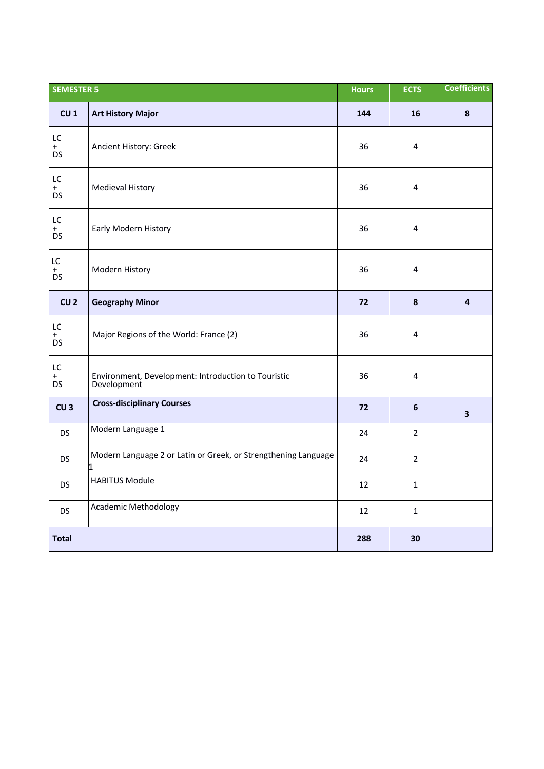| <b>SEMESTER 5</b>      |                                                                                | <b>Hours</b> | <b>ECTS</b>    | <b>Coefficients</b>     |
|------------------------|--------------------------------------------------------------------------------|--------------|----------------|-------------------------|
| CU <sub>1</sub>        | <b>Art History Major</b>                                                       | 144          | 16             | $\boldsymbol{8}$        |
| LC<br>$+$<br><b>DS</b> | Ancient History: Greek                                                         | 36           | 4              |                         |
| LC<br>$+$<br><b>DS</b> | <b>Medieval History</b>                                                        | 36           | 4              |                         |
| LC<br>$+$<br><b>DS</b> | Early Modern History                                                           | 36           | 4              |                         |
| LC<br>$+$<br><b>DS</b> | Modern History                                                                 | 36           | 4              |                         |
| CU <sub>2</sub>        | <b>Geography Minor</b>                                                         | 72           | 8              | $\overline{4}$          |
| LC<br>$+$<br><b>DS</b> | Major Regions of the World: France (2)                                         | 36           | 4              |                         |
| LC<br>$+$<br><b>DS</b> | Environment, Development: Introduction to Touristic<br>Development             | 36           | 4              |                         |
| CU <sub>3</sub>        | <b>Cross-disciplinary Courses</b>                                              | 72           | 6              | $\overline{\mathbf{3}}$ |
| <b>DS</b>              | Modern Language 1                                                              | 24           | $\overline{2}$ |                         |
| <b>DS</b>              | Modern Language 2 or Latin or Greek, or Strengthening Language<br>$\mathbf{1}$ | 24           | $\overline{2}$ |                         |
| <b>DS</b>              | <b>HABITUS Module</b>                                                          | 12           | $\mathbf{1}$   |                         |
| <b>DS</b>              | <b>Academic Methodology</b>                                                    | 12           | 1              |                         |
| <b>Total</b>           |                                                                                | 288          | 30             |                         |